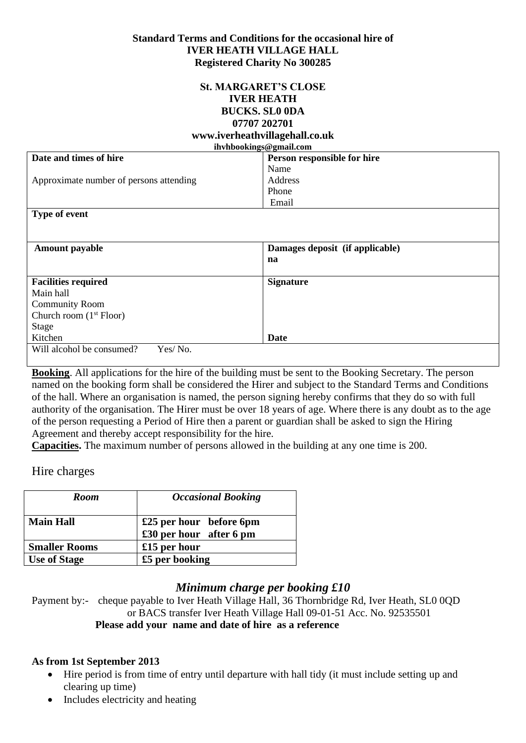#### **Standard Terms and Conditions for the occasional hire of IVER HEATH VILLAGE HALL Registered Charity No 300285**

#### **St. MARGARET'S CLOSE IVER HEATH BUCKS. SL0 0DA 07707 202701 www.iverheathvillagehall.co.uk**

| ihvhbookings@gmail.com                  |                                 |
|-----------------------------------------|---------------------------------|
| Date and times of hire                  | Person responsible for hire     |
|                                         | Name                            |
| Approximate number of persons attending | Address                         |
|                                         | Phone                           |
|                                         | Email                           |
| Type of event                           |                                 |
|                                         |                                 |
|                                         |                                 |
| <b>Amount payable</b>                   | Damages deposit (if applicable) |
|                                         | na                              |
|                                         |                                 |
| <b>Facilities required</b>              | <b>Signature</b>                |
| Main hall                               |                                 |
| <b>Community Room</b>                   |                                 |
| Church room $(1st Floor)$               |                                 |
| <b>Stage</b>                            |                                 |
| Kitchen                                 | Date                            |
| Will alcohol be consumed?<br>Yes/No.    |                                 |
|                                         |                                 |

**Booking**. All applications for the hire of the building must be sent to the Booking Secretary. The person named on the booking form shall be considered the Hirer and subject to the Standard Terms and Conditions of the hall. Where an organisation is named, the person signing hereby confirms that they do so with full authority of the organisation. The Hirer must be over 18 years of age. Where there is any doubt as to the age of the person requesting a Period of Hire then a parent or guardian shall be asked to sign the Hiring Agreement and thereby accept responsibility for the hire.

**Capacities.** The maximum number of persons allowed in the building at any one time is 200.

#### Hire charges

| <b>Room</b>          | <b>Occasional Booking</b>                          |
|----------------------|----------------------------------------------------|
| <b>Main Hall</b>     | £25 per hour before 6pm<br>£30 per hour after 6 pm |
| <b>Smaller Rooms</b> | £15 per hour                                       |
| <b>Use of Stage</b>  | £5 per booking                                     |

# *Minimum charge per booking £10*

Payment by:- cheque payable to Iver Heath Village Hall, 36 Thornbridge Rd, Iver Heath, SL0 0QD or BACS transfer Iver Heath Village Hall 09-01-51 Acc. No. 92535501 **Please add your name and date of hire as a reference**

#### **As from 1st September 2013**

- Hire period is from time of entry until departure with hall tidy (it must include setting up and clearing up time)
- Includes electricity and heating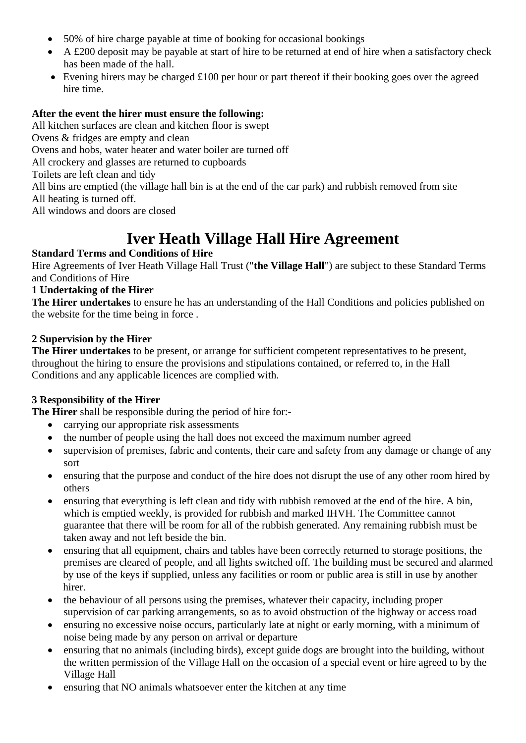- 50% of hire charge payable at time of booking for occasional bookings
- A £200 deposit may be payable at start of hire to be returned at end of hire when a satisfactory check has been made of the hall.
- Evening hirers may be charged £100 per hour or part thereof if their booking goes over the agreed hire time.

# **After the event the hirer must ensure the following:**

All kitchen surfaces are clean and kitchen floor is swept Ovens & fridges are empty and clean Ovens and hobs, water heater and water boiler are turned off All crockery and glasses are returned to cupboards Toilets are left clean and tidy All bins are emptied (the village hall bin is at the end of the car park) and rubbish removed from site All heating is turned off. All windows and doors are closed

# **Iver Heath Village Hall Hire Agreement**

# **Standard Terms and Conditions of Hire**

Hire Agreements of Iver Heath Village Hall Trust ("**the Village Hall**") are subject to these Standard Terms and Conditions of Hire

# **1 Undertaking of the Hirer**

**The Hirer undertakes** to ensure he has an understanding of the Hall Conditions and policies published on the website for the time being in force .

#### **2 Supervision by the Hirer**

**The Hirer undertakes** to be present, or arrange for sufficient competent representatives to be present, throughout the hiring to ensure the provisions and stipulations contained, or referred to, in the Hall Conditions and any applicable licences are complied with.

# **3 Responsibility of the Hirer**

**The Hirer** shall be responsible during the period of hire for:-

- carrying our appropriate risk assessments
- the number of people using the hall does not exceed the maximum number agreed
- supervision of premises, fabric and contents, their care and safety from any damage or change of any sort
- ensuring that the purpose and conduct of the hire does not disrupt the use of any other room hired by others
- ensuring that everything is left clean and tidy with rubbish removed at the end of the hire. A bin, which is emptied weekly, is provided for rubbish and marked IHVH. The Committee cannot guarantee that there will be room for all of the rubbish generated. Any remaining rubbish must be taken away and not left beside the bin.
- ensuring that all equipment, chairs and tables have been correctly returned to storage positions, the premises are cleared of people, and all lights switched off. The building must be secured and alarmed by use of the keys if supplied, unless any facilities or room or public area is still in use by another hirer.
- the behaviour of all persons using the premises, whatever their capacity, including proper supervision of car parking arrangements, so as to avoid obstruction of the highway or access road
- ensuring no excessive noise occurs, particularly late at night or early morning, with a minimum of noise being made by any person on arrival or departure
- ensuring that no animals (including birds), except guide dogs are brought into the building, without the written permission of the Village Hall on the occasion of a special event or hire agreed to by the Village Hall
- ensuring that NO animals whatsoever enter the kitchen at any time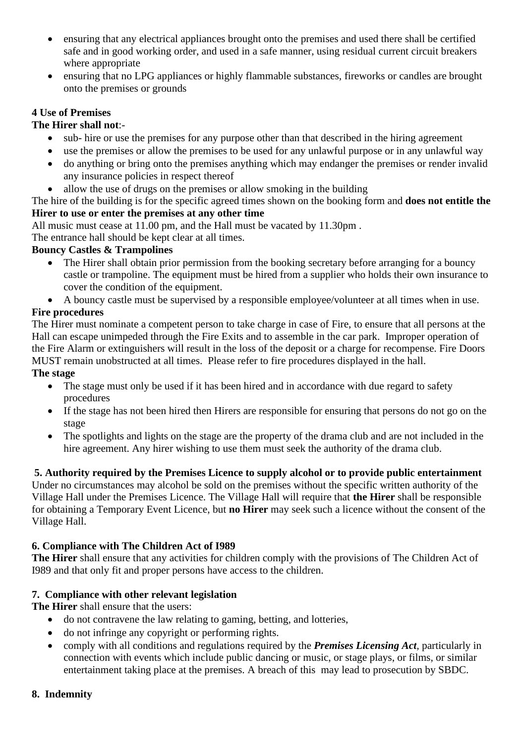- ensuring that any electrical appliances brought onto the premises and used there shall be certified safe and in good working order, and used in a safe manner, using residual current circuit breakers where appropriate
- ensuring that no LPG appliances or highly flammable substances, fireworks or candles are brought onto the premises or grounds

# **4 Use of Premises**

# **The Hirer shall not**:-

- sub- hire or use the premises for any purpose other than that described in the hiring agreement
- use the premises or allow the premises to be used for any unlawful purpose or in any unlawful way
- do anything or bring onto the premises anything which may endanger the premises or render invalid any insurance policies in respect thereof
- allow the use of drugs on the premises or allow smoking in the building

The hire of the building is for the specific agreed times shown on the booking form and **does not entitle the Hirer to use or enter the premises at any other time**

All music must cease at 11.00 pm, and the Hall must be vacated by 11.30pm .

The entrance hall should be kept clear at all times.

# **Bouncy Castles & Trampolines**

- The Hirer shall obtain prior permission from the booking secretary before arranging for a bouncy castle or trampoline. The equipment must be hired from a supplier who holds their own insurance to cover the condition of the equipment.
- A bouncy castle must be supervised by a responsible employee/volunteer at all times when in use.

# **Fire procedures**

The Hirer must nominate a competent person to take charge in case of Fire, to ensure that all persons at the Hall can escape unimpeded through the Fire Exits and to assemble in the car park. Improper operation of the Fire Alarm or extinguishers will result in the loss of the deposit or a charge for recompense. Fire Doors MUST remain unobstructed at all times. Please refer to fire procedures displayed in the hall. **The stage**

- The stage must only be used if it has been hired and in accordance with due regard to safety procedures
- If the stage has not been hired then Hirers are responsible for ensuring that persons do not go on the stage
- The spotlights and lights on the stage are the property of the drama club and are not included in the hire agreement. Any hirer wishing to use them must seek the authority of the drama club.

# **5. Authority required by the Premises Licence to supply alcohol or to provide public entertainment**

Under no circumstances may alcohol be sold on the premises without the specific written authority of the Village Hall under the Premises Licence. The Village Hall will require that **the Hirer** shall be responsible for obtaining a Temporary Event Licence, but **no Hirer** may seek such a licence without the consent of the Village Hall.

# **6. Compliance with The Children Act of I989**

**The Hirer** shall ensure that any activities for children comply with the provisions of The Children Act of I989 and that only fit and proper persons have access to the children.

# **7. Compliance with other relevant legislation**

**The Hirer** shall ensure that the users:

- do not contravene the law relating to gaming, betting, and lotteries,
- do not infringe any copyright or performing rights.
- comply with all conditions and regulations required by the *Premises Licensing Act,* particularly in connection with events which include public dancing or music, or stage plays, or films, or similar entertainment taking place at the premises. A breach of this may lead to prosecution by SBDC.